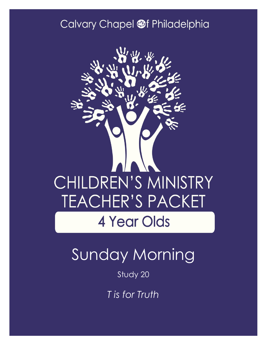### Calvary Chapel @f Philadelphia



# Sunday Morning

Study 20

*T is for Truth*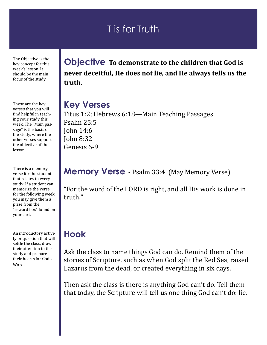### T is for Truth

The Objective is the key concept for this week's lesson. It should be the main focus of the study.

These are the key verses that you will find helpful in teaching your study this week. The "Main passage" is the basis of the study, where the other verses support the objective of the lesson.

There is a memory verse for the students that relates to every study. If a student can memorize the verse for the following week you may give them a prize from the "reward box" found on your cart.

An introductory activity or question that will settle the class, draw their attention to the study and prepare their hearts for God's Word.

**Objective To demonstrate to the children that God is never deceitful, He does not lie, and He always tells us the truth.**

#### **Key Verses**

Titus 1:2; Hebrews 6:18—Main Teaching Passages Psalm 25:5 John 14:6 John 8:32 Genesis 6-9

#### **Memory Verse** - Psalm 33:4 (May Memory Verse)

"For the word of the LORD is right, and all His work is done in truth."

#### **Hook**

Ask the class to name things God can do. Remind them of the stories of Scripture, such as when God split the Red Sea, raised Lazarus from the dead, or created everything in six days.

Then ask the class is there is anything God can't do. Tell them that today, the Scripture will tell us one thing God can't do: lie.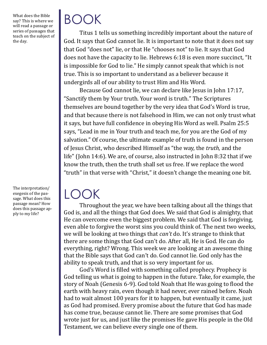What does the Bible say? This is where we will read a passage or series of passages that teach on the subject of the day.

The interpretation/ exegesis of the passage. What does this passage mean? How does this passage apply to my life?

## BOOK

Titus 1 tells us something incredibly important about the nature of God. It says that God cannot lie. It is important to note that it does not say that God "does not" lie, or that He "chooses not" to lie. It says that God does not have the capacity to lie. Hebrews 6:18 is even more succinct, "It is impossible for God to lie." He simply cannot speak that which is not true. This is so important to understand as a believer because it undergirds all of our ability to trust Him and His Word.

Because God cannot lie, we can declare like Jesus in John 17:17, "Sanctify them by Your truth. Your word is truth." The Scriptures themselves are bound together by the very idea that God's Word is true, and that because there is not falsehood in Him, we can not only trust what it says, but have full confidence in obeying His Word as well. Psalm 25:5 says, "Lead in me in Your truth and teach me, for you are the God of my salvation." Of course, the ultimate example of truth is found in the person of Jesus Christ, who described Himself as "the way, the *truth,* and the life" (John 14:6). We are, of course, also instructed in John 8:32 that if we know the truth, then the truth shall set us free. If we replace the word "truth" in that verse with "Christ," it doesn't change the meaning one bit.

## LOOK

Throughout the year, we have been talking about all the things that God is, and all the things that God does. We said that God is almighty, that He can overcome even the biggest problem. We said that God is forgiving, even able to forgive the worst sins you could think of. The next two weeks, we will be looking at two things that *can't* do. It's strange to think that there are some things that God can't do. After all, He is God. He can do everything, right? Wrong. This week we are looking at an awesome thing that the Bible says that God can't do. God cannot lie. God only has the ability to speak truth, and that is so very important for us.

God's Word is filled with something called prophecy. Prophecy is God telling us what is going to happen in the future. Take, for example, the story of Noah (Genesis 6-9). God told Noah that He was going to flood the earth with heavy rain, even though it had never, ever rained before. Noah had to wait almost 100 years for it to happen, but eventually it came, just as God had promised. Every promise about the future that God has made has come true, because cannot lie. There are some promises that God wrote just for us, and just like the promises He gave His people in the Old Testament, we can believe every single one of them.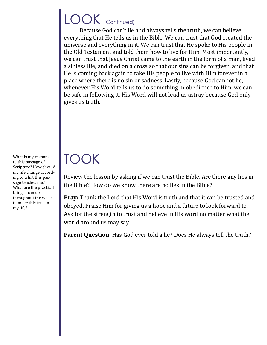## LOOK (Continued)

Because God can't lie and always tells the truth, we can believe everything that He tells us in the Bible. We can trust that God created the universe and everything in it. We can trust that He spoke to His people in the Old Testament and told them how to live for Him. Most importantly, we can trust that Jesus Christ came to the earth in the form of a man, lived a sinless life, and died on a cross so that our sins can be forgiven, and that He is coming back again to take His people to live with Him forever in a place where there is no sin or sadness. Lastly, because God cannot lie, whenever His Word tells us to do something in obedience to Him, we can be safe in following it. His Word will not lead us astray because God only gives us truth.

What is my response to this passage of Scripture? How should my life change according to what this passage teaches me? What are the practical things I can do throughout the week to make this true in my life?

# TOOK

Review the lesson by asking if we can trust the Bible. Are there any lies in the Bible? How do we know there are no lies in the Bible?

**Pray:** Thank the Lord that His Word is truth and that it can be trusted and obeyed. Praise Him for giving us a hope and a future to look forward to. Ask for the strength to trust and believe in His word no matter what the world around us may say.

**Parent Question:** Has God ever told a lie? Does He always tell the truth?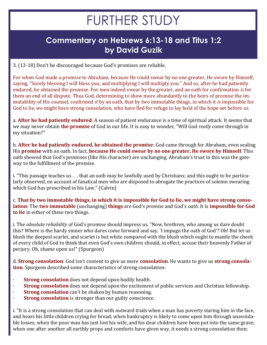## FURTHER STUDY

#### **Commentary on Hebrews 6:13-18 and Titus 1:2 by David Guzik**

3. (13-18) Don't be discouraged because God's promises are reliable.

For when God made a promise to Abraham, because He could swear by no one greater, He swore by Himself, saying, "Surely blessing I will bless you, and multiplying I will multiply you." And so, after he had patiently endured, he obtained the promise. For men indeed swear by the greater, and an oath for confirmation *is* for them an end of all dispute. Thus God, determining to show more abundantly to the heirs of promise the immutability of His counsel, confirmed *it* by an oath, that by two immutable things, in which it *is* impossible for God to lie, we might have strong consolation, who have fled for refuge to lay hold of the hope set before *us.*

a. **After he had patiently endured**: A season of patient endurance is a time of spiritual attack. It seems that we may never obtain **the promise** of God in our life. It is easy to wonder, "Will God *really* come through in my situation?"

b. **After he had patiently endured, he obtained the promise**: God came through for Abraham, even sealing His **promise** with an oath. In fact, **because He could swear by no one greater, He swore by Himself**. This oath showed that God's promises (like His character) are unchanging. Abraham's trust in this was the gateway to the fulfillment of the promise.

i. "This passage teaches us . . . that an oath may be lawfully used by Christians; and this ought to be particularly observed, on account of fanatical men who are disposed to abrogate the practices of solemn swearing which God has prescribed in his Law." (Calvin)

c. **That by two immutable things, in which it is impossible for God to lie, we might have strong consolation**: The **two immutable** (unchanging) **things** are God's *promise* and God's *oath*. It is **impossible for God to lie** in either of these two things.

i. The *absolute reliability* of God's promise should impress us. "Now, brethren, who among us dare doubt this? Where is the hardy sinner who dares come forward and say, 'I impugn the oath of God'? Oh! But let us blush the deepest scarlet, and scarlet is but white compared with the blush which ought to mantle the cheek of every child of God to think that even God's own children should, in effect, accuse their heavenly Father of perjury. Oh, shame upon us!" (Spurgeon)

d. **Strong consolation**: God isn't content to give us mere **consolation**. He wants to give us **strong consolation**. Spurgeon described some characteristics of strong consolation:

- **Strong consolation** does not depend upon bodily health.
- **Strong consolation** does not depend upon the excitement of public services and Christian fellowship.
- · **Strong consolation** can't be shaken by human reasoning.
- **Strong consolation** is stronger than our guilty conscience.

i. "It is a strong consolation that can deal with outward trials when a man has poverty staring him in the face, and hears his little children crying for bread; when bankruptcy is likely to come upon him through unavoidable losses; when the poor man has just lost his wife, and his dear children have been put into the same grave; when one after another all earthly props and comforts have given way, it needs a strong consolation then;